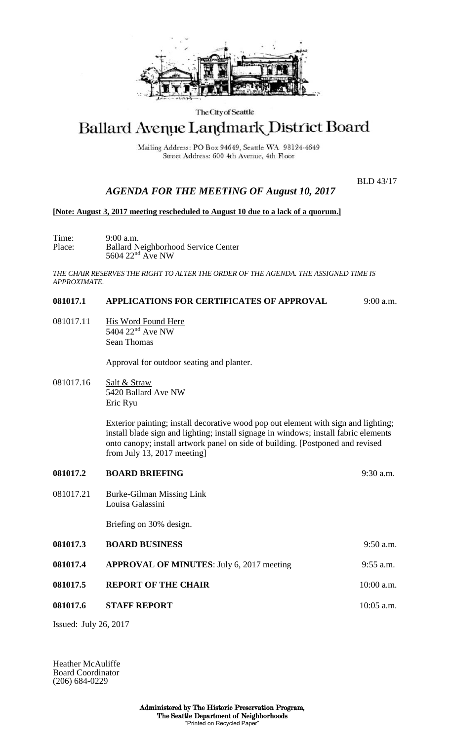

## The City of Seattle

# Ballard Avenue Landmark District Board

Mailing Address: PO Box 94649, Seattle WA 98124-4649 Street Address: 600 4th Avenue, 4th Floor

BLD 43/17

# *AGENDA FOR THE MEETING OF August 10, 2017*

#### **[Note: August 3, 2017 meeting rescheduled to August 10 due to a lack of a quorum.]**

Time: 9:00 a.m.<br>Place: Ballard N Place: Ballard Neighborhood Service Center  $5604$   $22<sup>nd</sup>$  Ave NW

*THE CHAIR RESERVES THE RIGHT TO ALTER THE ORDER OF THE AGENDA. THE ASSIGNED TIME IS APPROXIMATE.*

### **081017.1 APPLICATIONS FOR CERTIFICATES OF APPROVAL** 9:00 a.m.

081017.11 His Word Found Here 5404 22<sup>nd</sup> Ave NW Sean Thomas

Approval for outdoor seating and planter.

081017.16 Salt & Straw 5420 Ballard Ave NW Eric Ryu

> Exterior painting; install decorative wood pop out element with sign and lighting; install blade sign and lighting; install signage in windows; install fabric elements onto canopy; install artwork panel on side of building. [Postponed and revised from July 13, 2017 meeting]

| 081017.2  | <b>BOARD BRIEFING</b>                            | $9:30$ a.m.  |
|-----------|--------------------------------------------------|--------------|
| 081017.21 | Burke-Gilman Missing Link<br>Louisa Galassini    |              |
|           | Briefing on 30% design.                          |              |
| 081017.3  | <b>BOARD BUSINESS</b>                            | $9:50$ a.m.  |
| 081017.4  | <b>APPROVAL OF MINUTES:</b> July 6, 2017 meeting | $9:55$ a.m.  |
| 081017.5  | <b>REPORT OF THE CHAIR</b>                       | $10:00$ a.m. |
| 081017.6  | <b>STAFF REPORT</b>                              | $10:05$ a.m. |
|           |                                                  |              |

Issued: July 26, 2017

Heather McAuliffe Board Coordinator (206) 684-0229